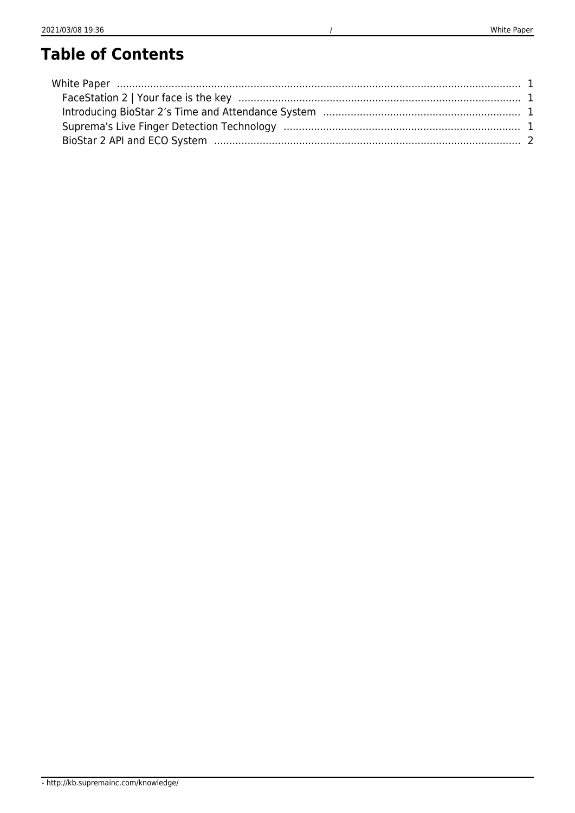# **Table of Contents**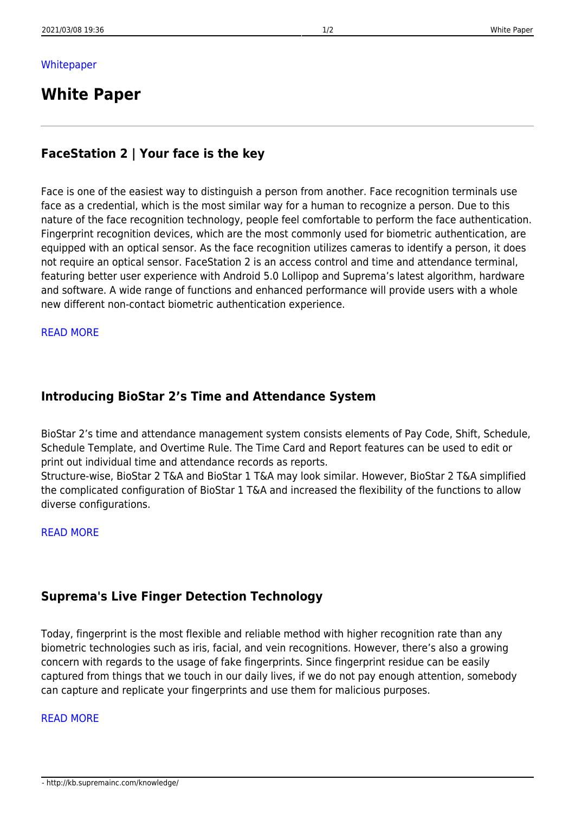## <span id="page-1-0"></span>**White Paper**

## <span id="page-1-1"></span>**FaceStation 2 | Your face is the key**

Face is one of the easiest way to distinguish a person from another. Face recognition terminals use face as a credential, which is the most similar way for a human to recognize a person. Due to this nature of the face recognition technology, people feel comfortable to perform the face authentication. Fingerprint recognition devices, which are the most commonly used for biometric authentication, are equipped with an optical sensor. As the face recognition utilizes cameras to identify a person, it does not require an optical sensor. FaceStation 2 is an access control and time and attendance terminal, featuring better user experience with Android 5.0 Lollipop and Suprema's latest algorithm, hardware and software. A wide range of functions and enhanced performance will provide users with a whole new different non-contact biometric authentication experience.

#### [READ MORE](http://kb.supremainc.com/knowledge/doku.php?id=en:tc_whitepaper_introducing_facestation2)

## <span id="page-1-2"></span>**Introducing BioStar 2's Time and Attendance System**

BioStar 2's time and attendance management system consists elements of Pay Code, Shift, Schedule, Schedule Template, and Overtime Rule. The Time Card and Report features can be used to edit or print out individual time and attendance records as reports.

Structure-wise, BioStar 2 T&A and BioStar 1 T&A may look similar. However, BioStar 2 T&A simplified the complicated configuration of BioStar 1 T&A and increased the flexibility of the functions to allow diverse configurations.

#### [READ MORE](http://kb.supremainc.com/knowledge/doku.php?id=en:tc_whitepaper_introducing_biostar2_ta_system)

## <span id="page-1-3"></span>**Suprema's Live Finger Detection Technology**

Today, fingerprint is the most flexible and reliable method with higher recognition rate than any biometric technologies such as iris, facial, and vein recognitions. However, there's also a growing concern with regards to the usage of fake fingerprints. Since fingerprint residue can be easily captured from things that we touch in our daily lives, if we do not pay enough attention, somebody can capture and replicate your fingerprints and use them for malicious purposes.

#### [READ MORE](http://kb.supremainc.com/knowledge/doku.php?id=en:tc_whitepaper_suprema_live_finger_detection)